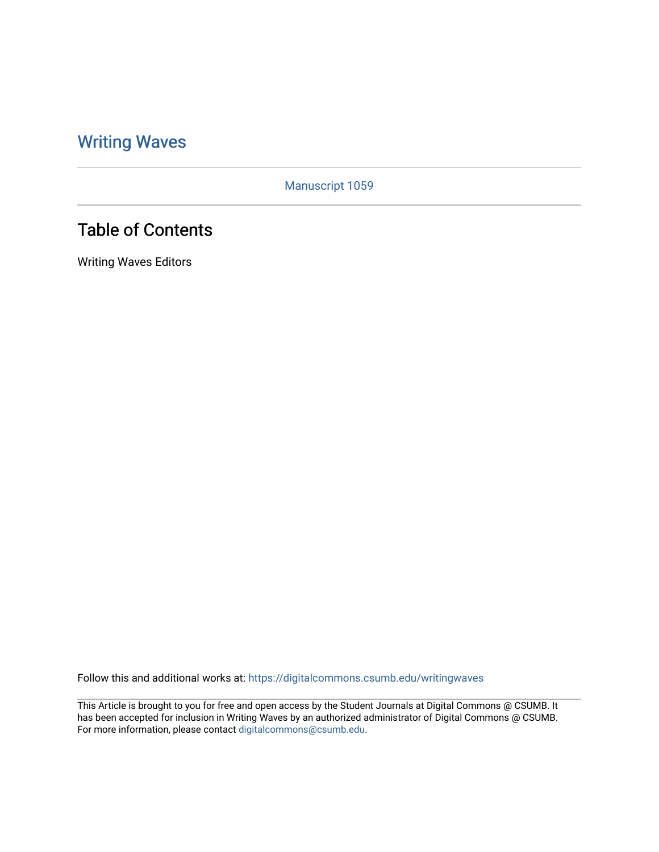# [Writing Waves](https://digitalcommons.csumb.edu/writingwaves)

Manuscript 1059

# Table of Contents

Writing Waves Editors

Follow this and additional works at: [https://digitalcommons.csumb.edu/writingwaves](https://digitalcommons.csumb.edu/writingwaves?utm_source=digitalcommons.csumb.edu%2Fwritingwaves%2Fvol4%2Fiss2%2F1&utm_medium=PDF&utm_campaign=PDFCoverPages) 

This Article is brought to you for free and open access by the Student Journals at Digital Commons @ CSUMB. It has been accepted for inclusion in Writing Waves by an authorized administrator of Digital Commons @ CSUMB. For more information, please contact [digitalcommons@csumb.edu](mailto:digitalcommons@csumb.edu).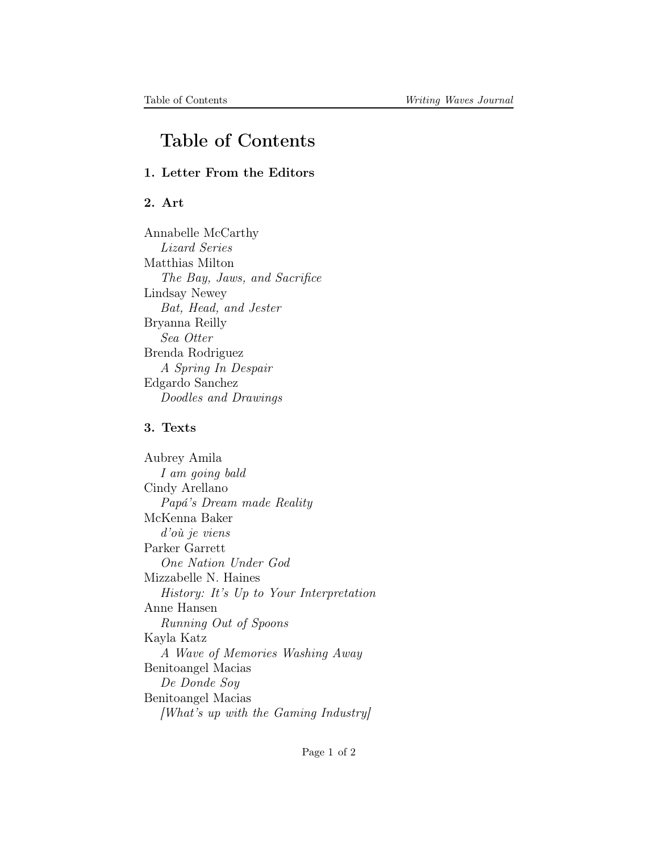## Table of Contents

### 1. Letter From the Editors

### 2. Art

Annabelle McCarthy Lizard Series Matthias Milton The Bay, Jaws, and Sacrifice Lindsay Newey Bat, Head, and Jester Bryanna Reilly Sea Otter Brenda Rodriguez A Spring In Despair Edgardo Sanchez Doodles and Drawings

#### 3. Texts

Aubrey Amila I am going bald Cindy Arellano Papá's Dream made Reality McKenna Baker d'où je viens Parker Garrett One Nation Under God Mizzabelle N. Haines History: It's Up to Your Interpretation Anne Hansen Running Out of Spoons Kayla Katz A Wave of Memories Washing Away Benitoangel Macias De Donde Soy Benitoangel Macias [What's up with the Gaming Industry]